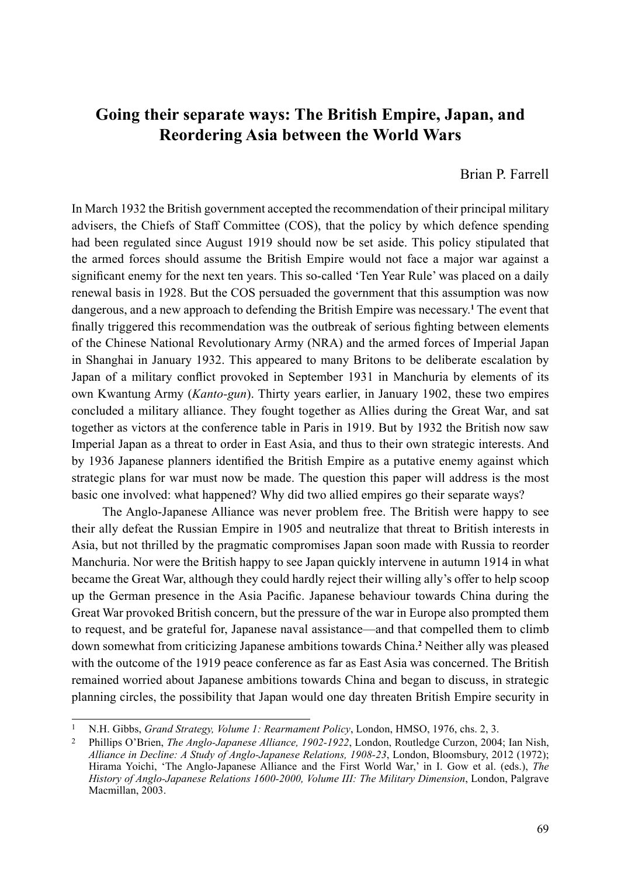## **Going their separate ways: The British Empire, Japan, and Reordering Asia between the World Wars**

Brian P. Farrell

In March 1932 the British government accepted the recommendation of their principal military advisers, the Chiefs of Staff Committee (COS), that the policy by which defence spending had been regulated since August 1919 should now be set aside. This policy stipulated that the armed forces should assume the British Empire would not face a major war against a significant enemy for the next ten years. This so-called 'Ten Year Rule' was placed on a daily renewal basis in 1928. But the COS persuaded the government that this assumption was now dangerous, and a new approach to defending the British Empire was necessary.**<sup>1</sup>** The event that finally triggered this recommendation was the outbreak of serious fighting between elements of the Chinese National Revolutionary Army (NRA) and the armed forces of Imperial Japan in Shanghai in January 1932. This appeared to many Britons to be deliberate escalation by Japan of a military conflict provoked in September 1931 in Manchuria by elements of its own Kwantung Army (*Kanto-gun*). Thirty years earlier, in January 1902, these two empires concluded a military alliance. They fought together as Allies during the Great War, and sat together as victors at the conference table in Paris in 1919. But by 1932 the British now saw Imperial Japan as a threat to order in East Asia, and thus to their own strategic interests. And by 1936 Japanese planners identified the British Empire as a putative enemy against which strategic plans for war must now be made. The question this paper will address is the most basic one involved: what happened? Why did two allied empires go their separate ways?

The Anglo-Japanese Alliance was never problem free. The British were happy to see their ally defeat the Russian Empire in 1905 and neutralize that threat to British interests in Asia, but not thrilled by the pragmatic compromises Japan soon made with Russia to reorder Manchuria. Nor were the British happy to see Japan quickly intervene in autumn 1914 in what became the Great War, although they could hardly reject their willing ally's offer to help scoop up the German presence in the Asia Pacific. Japanese behaviour towards China during the Great War provoked British concern, but the pressure of the war in Europe also prompted them to request, and be grateful for, Japanese naval assistance—and that compelled them to climb down somewhat from criticizing Japanese ambitions towards China.**<sup>2</sup>** Neither ally was pleased with the outcome of the 1919 peace conference as far as East Asia was concerned. The British remained worried about Japanese ambitions towards China and began to discuss, in strategic planning circles, the possibility that Japan would one day threaten British Empire security in

<sup>1</sup> N.H. Gibbs, *Grand Strategy, Volume 1: Rearmament Policy*, London, HMSO, 1976, chs. 2, 3.

<sup>2</sup> Phillips O'Brien, *The Anglo-Japanese Alliance, 1902-1922*, London, Routledge Curzon, 2004; Ian Nish, *Alliance in Decline: A Study of Anglo-Japanese Relations, 1908-23*, London, Bloomsbury, 2012 (1972); Hirama Yoichi, 'The Anglo-Japanese Alliance and the First World War,' in I. Gow et al. (eds.), *The History of Anglo-Japanese Relations 1600-2000, Volume III: The Military Dimension*, London, Palgrave Macmillan, 2003.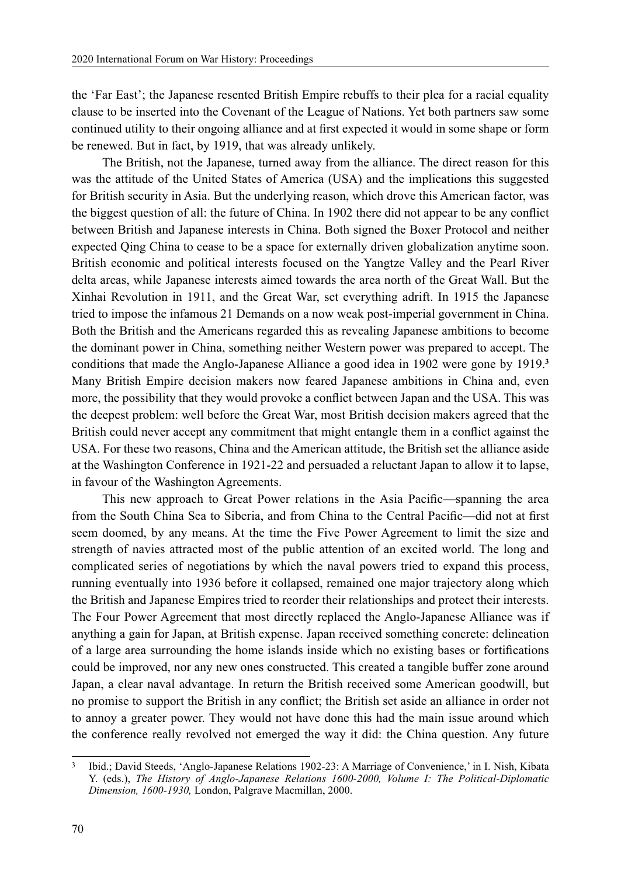the 'Far East'; the Japanese resented British Empire rebuffs to their plea for a racial equality clause to be inserted into the Covenant of the League of Nations. Yet both partners saw some continued utility to their ongoing alliance and at first expected it would in some shape or form be renewed. But in fact, by 1919, that was already unlikely.

The British, not the Japanese, turned away from the alliance. The direct reason for this was the attitude of the United States of America (USA) and the implications this suggested for British security in Asia. But the underlying reason, which drove this American factor, was the biggest question of all: the future of China. In 1902 there did not appear to be any conflict between British and Japanese interests in China. Both signed the Boxer Protocol and neither expected Qing China to cease to be a space for externally driven globalization anytime soon. British economic and political interests focused on the Yangtze Valley and the Pearl River delta areas, while Japanese interests aimed towards the area north of the Great Wall. But the Xinhai Revolution in 1911, and the Great War, set everything adrift. In 1915 the Japanese tried to impose the infamous 21 Demands on a now weak post-imperial government in China. Both the British and the Americans regarded this as revealing Japanese ambitions to become the dominant power in China, something neither Western power was prepared to accept. The conditions that made the Anglo-Japanese Alliance a good idea in 1902 were gone by 1919.**<sup>3</sup>** Many British Empire decision makers now feared Japanese ambitions in China and, even more, the possibility that they would provoke a conflict between Japan and the USA. This was the deepest problem: well before the Great War, most British decision makers agreed that the British could never accept any commitment that might entangle them in a conflict against the USA. For these two reasons, China and the American attitude, the British set the alliance aside at the Washington Conference in 1921-22 and persuaded a reluctant Japan to allow it to lapse, in favour of the Washington Agreements.

This new approach to Great Power relations in the Asia Pacific—spanning the area from the South China Sea to Siberia, and from China to the Central Pacific—did not at first seem doomed, by any means. At the time the Five Power Agreement to limit the size and strength of navies attracted most of the public attention of an excited world. The long and complicated series of negotiations by which the naval powers tried to expand this process, running eventually into 1936 before it collapsed, remained one major trajectory along which the British and Japanese Empires tried to reorder their relationships and protect their interests. The Four Power Agreement that most directly replaced the Anglo-Japanese Alliance was if anything a gain for Japan, at British expense. Japan received something concrete: delineation of a large area surrounding the home islands inside which no existing bases or fortifications could be improved, nor any new ones constructed. This created a tangible buffer zone around Japan, a clear naval advantage. In return the British received some American goodwill, but no promise to support the British in any conflict; the British set aside an alliance in order not to annoy a greater power. They would not have done this had the main issue around which the conference really revolved not emerged the way it did: the China question. Any future

<sup>3</sup> Ibid.; David Steeds, 'Anglo-Japanese Relations 1902-23: A Marriage of Convenience,' in I. Nish, Kibata Y. (eds.), *The History of Anglo-Japanese Relations 1600-2000, Volume I: The Political-Diplomatic Dimension, 1600-1930,* London, Palgrave Macmillan, 2000.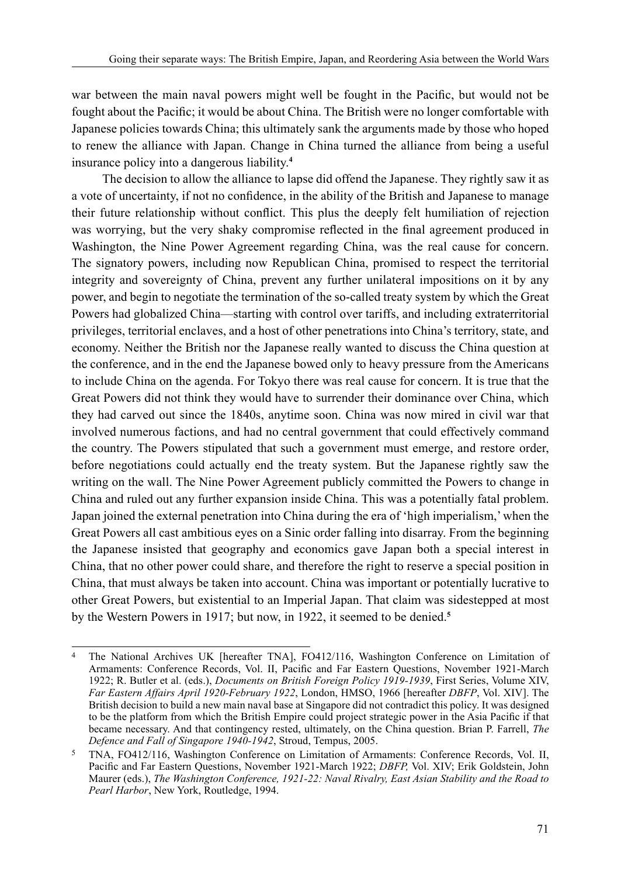war between the main naval powers might well be fought in the Pacific, but would not be fought about the Pacific; it would be about China. The British were no longer comfortable with Japanese policies towards China; this ultimately sank the arguments made by those who hoped to renew the alliance with Japan. Change in China turned the alliance from being a useful insurance policy into a dangerous liability.**<sup>4</sup>**

The decision to allow the alliance to lapse did offend the Japanese. They rightly saw it as a vote of uncertainty, if not no confidence, in the ability of the British and Japanese to manage their future relationship without conflict. This plus the deeply felt humiliation of rejection was worrying, but the very shaky compromise reflected in the final agreement produced in Washington, the Nine Power Agreement regarding China, was the real cause for concern. The signatory powers, including now Republican China, promised to respect the territorial integrity and sovereignty of China, prevent any further unilateral impositions on it by any power, and begin to negotiate the termination of the so-called treaty system by which the Great Powers had globalized China—starting with control over tariffs, and including extraterritorial privileges, territorial enclaves, and a host of other penetrations into China's territory, state, and economy. Neither the British nor the Japanese really wanted to discuss the China question at the conference, and in the end the Japanese bowed only to heavy pressure from the Americans to include China on the agenda. For Tokyo there was real cause for concern. It is true that the Great Powers did not think they would have to surrender their dominance over China, which they had carved out since the 1840s, anytime soon. China was now mired in civil war that involved numerous factions, and had no central government that could effectively command the country. The Powers stipulated that such a government must emerge, and restore order, before negotiations could actually end the treaty system. But the Japanese rightly saw the writing on the wall. The Nine Power Agreement publicly committed the Powers to change in China and ruled out any further expansion inside China. This was a potentially fatal problem. Japan joined the external penetration into China during the era of 'high imperialism,' when the Great Powers all cast ambitious eyes on a Sinic order falling into disarray. From the beginning the Japanese insisted that geography and economics gave Japan both a special interest in China, that no other power could share, and therefore the right to reserve a special position in China, that must always be taken into account. China was important or potentially lucrative to other Great Powers, but existential to an Imperial Japan. That claim was sidestepped at most by the Western Powers in 1917; but now, in 1922, it seemed to be denied.**<sup>5</sup>**

<sup>4</sup> The National Archives UK [hereafter TNA], FO412/116, Washington Conference on Limitation of Armaments: Conference Records, Vol. II, Pacific and Far Eastern Questions, November 1921-March 1922; R. Butler et al. (eds.), *Documents on British Foreign Policy 1919-1939*, First Series, Volume XIV, *Far Eastern Affairs April 1920-February 1922*, London, HMSO, 1966 [hereafter *DBFP*, Vol. XIV]. The British decision to build a new main naval base at Singapore did not contradict this policy. It was designed to be the platform from which the British Empire could project strategic power in the Asia Pacific if that became necessary. And that contingency rested, ultimately, on the China question. Brian P. Farrell, *The Defence and Fall of Singapore 1940-1942*, Stroud, Tempus, 2005.

<sup>5</sup> TNA, FO412/116, Washington Conference on Limitation of Armaments: Conference Records, Vol. II, Pacific and Far Eastern Questions, November 1921-March 1922; *DBFP,* Vol. XIV; Erik Goldstein, John Maurer (eds.), *The Washington Conference, 1921-22: Naval Rivalry, East Asian Stability and the Road to Pearl Harbor*, New York, Routledge, 1994.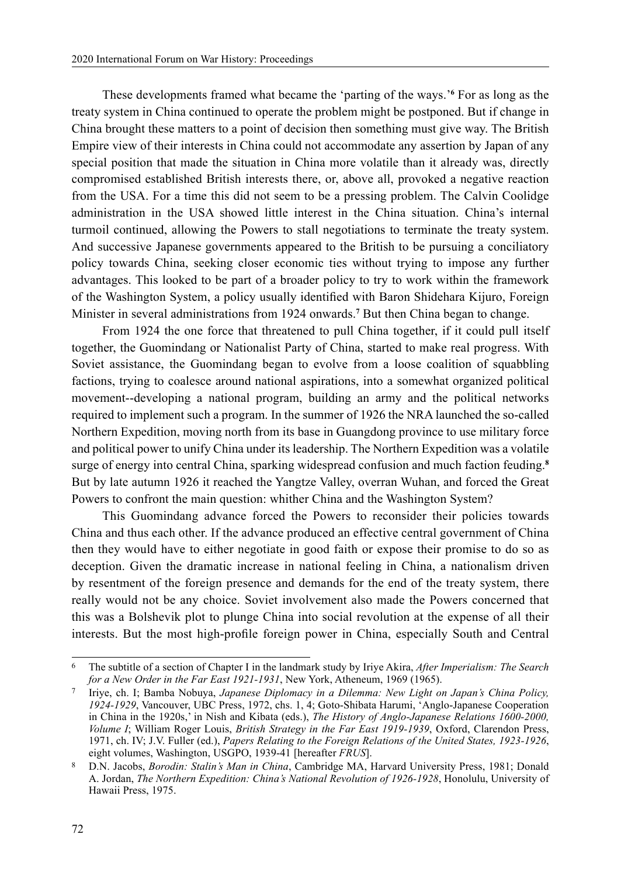These developments framed what became the 'parting of the ways.'**<sup>6</sup>** For as long as the treaty system in China continued to operate the problem might be postponed. But if change in China brought these matters to a point of decision then something must give way. The British Empire view of their interests in China could not accommodate any assertion by Japan of any special position that made the situation in China more volatile than it already was, directly compromised established British interests there, or, above all, provoked a negative reaction from the USA. For a time this did not seem to be a pressing problem. The Calvin Coolidge administration in the USA showed little interest in the China situation. China's internal turmoil continued, allowing the Powers to stall negotiations to terminate the treaty system. And successive Japanese governments appeared to the British to be pursuing a conciliatory policy towards China, seeking closer economic ties without trying to impose any further advantages. This looked to be part of a broader policy to try to work within the framework of the Washington System, a policy usually identified with Baron Shidehara Kijuro, Foreign Minister in several administrations from 1924 onwards.**<sup>7</sup>** But then China began to change.

From 1924 the one force that threatened to pull China together, if it could pull itself together, the Guomindang or Nationalist Party of China, started to make real progress. With Soviet assistance, the Guomindang began to evolve from a loose coalition of squabbling factions, trying to coalesce around national aspirations, into a somewhat organized political movement--developing a national program, building an army and the political networks required to implement such a program. In the summer of 1926 the NRA launched the so-called Northern Expedition, moving north from its base in Guangdong province to use military force and political power to unify China under its leadership. The Northern Expedition was a volatile surge of energy into central China, sparking widespread confusion and much faction feuding.**<sup>8</sup>** But by late autumn 1926 it reached the Yangtze Valley, overran Wuhan, and forced the Great Powers to confront the main question: whither China and the Washington System?

This Guomindang advance forced the Powers to reconsider their policies towards China and thus each other. If the advance produced an effective central government of China then they would have to either negotiate in good faith or expose their promise to do so as deception. Given the dramatic increase in national feeling in China, a nationalism driven by resentment of the foreign presence and demands for the end of the treaty system, there really would not be any choice. Soviet involvement also made the Powers concerned that this was a Bolshevik plot to plunge China into social revolution at the expense of all their interests. But the most high-profile foreign power in China, especially South and Central

<sup>6</sup> The subtitle of a section of Chapter I in the landmark study by Iriye Akira, *After Imperialism: The Search for a New Order in the Far East 1921-1931*, New York, Atheneum, 1969 (1965).

<sup>7</sup> Iriye, ch. I; Bamba Nobuya, *Japanese Diplomacy in a Dilemma: New Light on Japan's China Policy, 1924-1929*, Vancouver, UBC Press, 1972, chs. 1, 4; Goto-Shibata Harumi, 'Anglo-Japanese Cooperation in China in the 1920s,' in Nish and Kibata (eds.), *The History of Anglo-Japanese Relations 1600-2000, Volume I*; William Roger Louis, *British Strategy in the Far East 1919-1939*, Oxford, Clarendon Press, 1971, ch. IV; J.V. Fuller (ed.), *Papers Relating to the Foreign Relations of the United States, 1923-1926*, eight volumes, Washington, USGPO, 1939-41 [hereafter *FRUS*].

<sup>8</sup> D.N. Jacobs, *Borodin: Stalin's Man in China*, Cambridge MA, Harvard University Press, 1981; Donald A. Jordan, *The Northern Expedition: China's National Revolution of 1926-1928*, Honolulu, University of Hawaii Press, 1975.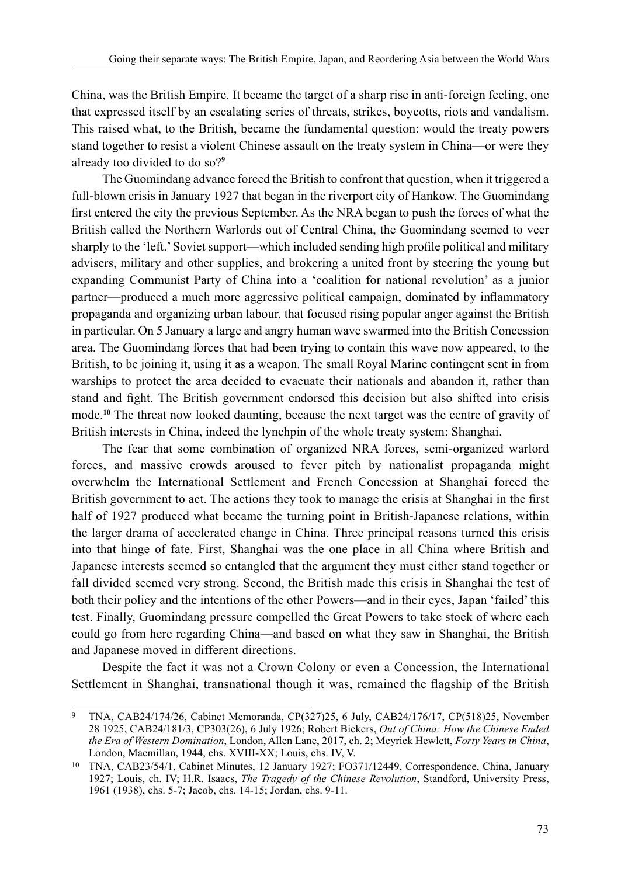China, was the British Empire. It became the target of a sharp rise in anti-foreign feeling, one that expressed itself by an escalating series of threats, strikes, boycotts, riots and vandalism. This raised what, to the British, became the fundamental question: would the treaty powers stand together to resist a violent Chinese assault on the treaty system in China—or were they already too divided to do so?**<sup>9</sup>**

The Guomindang advance forced the British to confront that question, when it triggered a full-blown crisis in January 1927 that began in the riverport city of Hankow. The Guomindang first entered the city the previous September. As the NRA began to push the forces of what the British called the Northern Warlords out of Central China, the Guomindang seemed to veer sharply to the 'left.' Soviet support—which included sending high profile political and military advisers, military and other supplies, and brokering a united front by steering the young but expanding Communist Party of China into a 'coalition for national revolution' as a junior partner—produced a much more aggressive political campaign, dominated by inflammatory propaganda and organizing urban labour, that focused rising popular anger against the British in particular. On 5 January a large and angry human wave swarmed into the British Concession area. The Guomindang forces that had been trying to contain this wave now appeared, to the British, to be joining it, using it as a weapon. The small Royal Marine contingent sent in from warships to protect the area decided to evacuate their nationals and abandon it, rather than stand and fight. The British government endorsed this decision but also shifted into crisis mode.**<sup>10</sup>** The threat now looked daunting, because the next target was the centre of gravity of British interests in China, indeed the lynchpin of the whole treaty system: Shanghai.

The fear that some combination of organized NRA forces, semi-organized warlord forces, and massive crowds aroused to fever pitch by nationalist propaganda might overwhelm the International Settlement and French Concession at Shanghai forced the British government to act. The actions they took to manage the crisis at Shanghai in the first half of 1927 produced what became the turning point in British-Japanese relations, within the larger drama of accelerated change in China. Three principal reasons turned this crisis into that hinge of fate. First, Shanghai was the one place in all China where British and Japanese interests seemed so entangled that the argument they must either stand together or fall divided seemed very strong. Second, the British made this crisis in Shanghai the test of both their policy and the intentions of the other Powers—and in their eyes, Japan 'failed' this test. Finally, Guomindang pressure compelled the Great Powers to take stock of where each could go from here regarding China—and based on what they saw in Shanghai, the British and Japanese moved in different directions.

Despite the fact it was not a Crown Colony or even a Concession, the International Settlement in Shanghai, transnational though it was, remained the flagship of the British

<sup>9</sup> TNA, CAB24/174/26, Cabinet Memoranda, CP(327)25, 6 July, CAB24/176/17, CP(518)25, November 28 1925, CAB24/181/3, CP303(26), 6 July 1926; Robert Bickers, *Out of China: How the Chinese Ended the Era of Western Domination*, London, Allen Lane, 2017, ch. 2; Meyrick Hewlett, *Forty Years in China*, London, Macmillan, 1944, chs. XVIII-XX; Louis, chs. IV, V.

<sup>10</sup> TNA, CAB23/54/1, Cabinet Minutes, 12 January 1927; FO371/12449, Correspondence, China, January 1927; Louis, ch. IV; H.R. Isaacs, *The Tragedy of the Chinese Revolution*, Standford, University Press, 1961 (1938), chs. 5-7; Jacob, chs. 14-15; Jordan, chs. 9-11.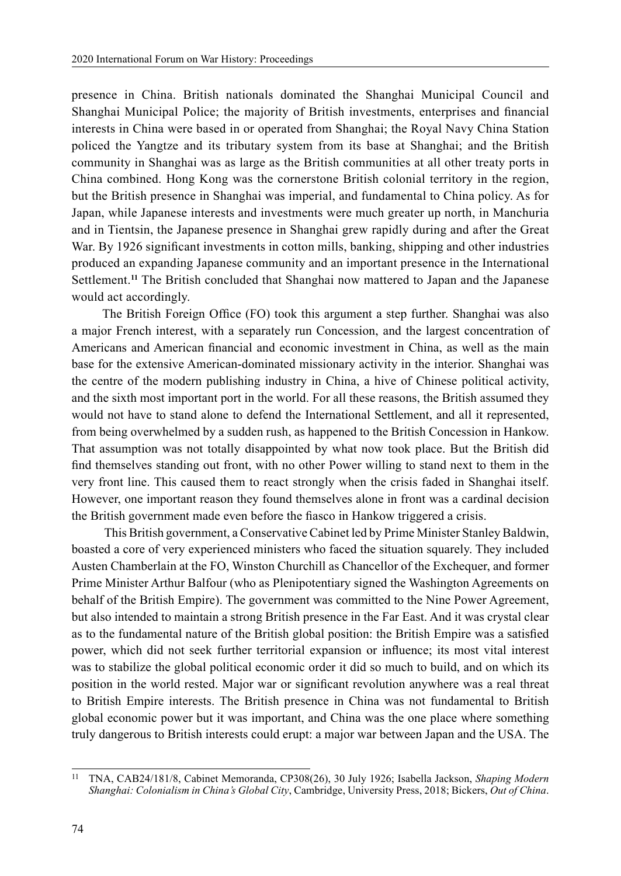presence in China. British nationals dominated the Shanghai Municipal Council and Shanghai Municipal Police; the majority of British investments, enterprises and financial interests in China were based in or operated from Shanghai; the Royal Navy China Station policed the Yangtze and its tributary system from its base at Shanghai; and the British community in Shanghai was as large as the British communities at all other treaty ports in China combined. Hong Kong was the cornerstone British colonial territory in the region, but the British presence in Shanghai was imperial, and fundamental to China policy. As for Japan, while Japanese interests and investments were much greater up north, in Manchuria and in Tientsin, the Japanese presence in Shanghai grew rapidly during and after the Great War. By 1926 significant investments in cotton mills, banking, shipping and other industries produced an expanding Japanese community and an important presence in the International Settlement.**<sup>11</sup>** The British concluded that Shanghai now mattered to Japan and the Japanese would act accordingly.

The British Foreign Office (FO) took this argument a step further. Shanghai was also a major French interest, with a separately run Concession, and the largest concentration of Americans and American financial and economic investment in China, as well as the main base for the extensive American-dominated missionary activity in the interior. Shanghai was the centre of the modern publishing industry in China, a hive of Chinese political activity, and the sixth most important port in the world. For all these reasons, the British assumed they would not have to stand alone to defend the International Settlement, and all it represented, from being overwhelmed by a sudden rush, as happened to the British Concession in Hankow. That assumption was not totally disappointed by what now took place. But the British did find themselves standing out front, with no other Power willing to stand next to them in the very front line. This caused them to react strongly when the crisis faded in Shanghai itself. However, one important reason they found themselves alone in front was a cardinal decision the British government made even before the fiasco in Hankow triggered a crisis.

 This British government, a Conservative Cabinet led by Prime Minister Stanley Baldwin, boasted a core of very experienced ministers who faced the situation squarely. They included Austen Chamberlain at the FO, Winston Churchill as Chancellor of the Exchequer, and former Prime Minister Arthur Balfour (who as Plenipotentiary signed the Washington Agreements on behalf of the British Empire). The government was committed to the Nine Power Agreement, but also intended to maintain a strong British presence in the Far East. And it was crystal clear as to the fundamental nature of the British global position: the British Empire was a satisfied power, which did not seek further territorial expansion or influence; its most vital interest was to stabilize the global political economic order it did so much to build, and on which its position in the world rested. Major war or significant revolution anywhere was a real threat to British Empire interests. The British presence in China was not fundamental to British global economic power but it was important, and China was the one place where something truly dangerous to British interests could erupt: a major war between Japan and the USA. The

<sup>11</sup> TNA, CAB24/181/8, Cabinet Memoranda, CP308(26), 30 July 1926; Isabella Jackson, *Shaping Modern Shanghai: Colonialism in China's Global City*, Cambridge, University Press, 2018; Bickers, *Out of China*.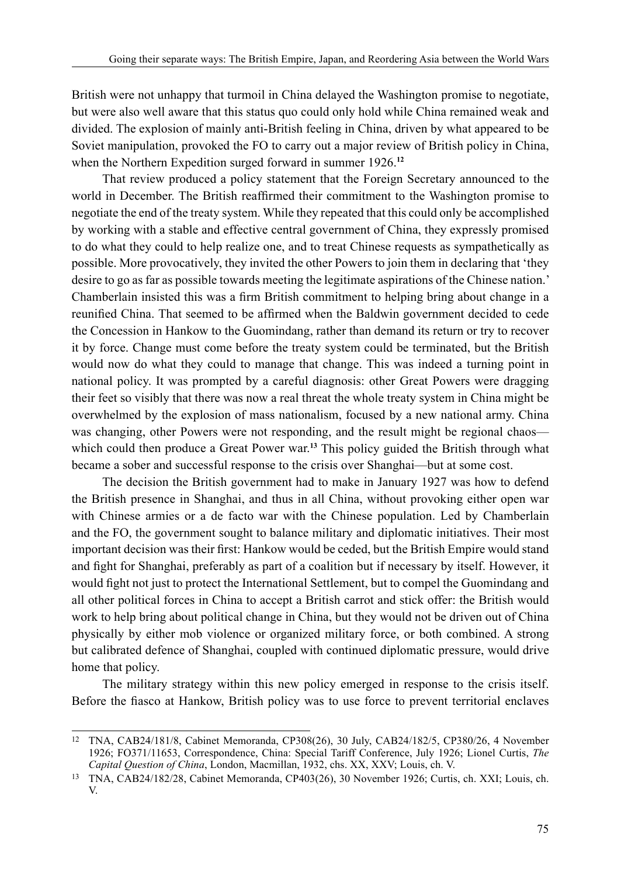British were not unhappy that turmoil in China delayed the Washington promise to negotiate, but were also well aware that this status quo could only hold while China remained weak and divided. The explosion of mainly anti-British feeling in China, driven by what appeared to be Soviet manipulation, provoked the FO to carry out a major review of British policy in China, when the Northern Expedition surged forward in summer 1926.**<sup>12</sup>**

That review produced a policy statement that the Foreign Secretary announced to the world in December. The British reaffirmed their commitment to the Washington promise to negotiate the end of the treaty system. While they repeated that this could only be accomplished by working with a stable and effective central government of China, they expressly promised to do what they could to help realize one, and to treat Chinese requests as sympathetically as possible. More provocatively, they invited the other Powers to join them in declaring that 'they desire to go as far as possible towards meeting the legitimate aspirations of the Chinese nation.' Chamberlain insisted this was a firm British commitment to helping bring about change in a reunified China. That seemed to be affirmed when the Baldwin government decided to cede the Concession in Hankow to the Guomindang, rather than demand its return or try to recover it by force. Change must come before the treaty system could be terminated, but the British would now do what they could to manage that change. This was indeed a turning point in national policy. It was prompted by a careful diagnosis: other Great Powers were dragging their feet so visibly that there was now a real threat the whole treaty system in China might be overwhelmed by the explosion of mass nationalism, focused by a new national army. China was changing, other Powers were not responding, and the result might be regional chaos which could then produce a Great Power war.**<sup>13</sup>** This policy guided the British through what became a sober and successful response to the crisis over Shanghai—but at some cost.

The decision the British government had to make in January 1927 was how to defend the British presence in Shanghai, and thus in all China, without provoking either open war with Chinese armies or a de facto war with the Chinese population. Led by Chamberlain and the FO, the government sought to balance military and diplomatic initiatives. Their most important decision was their first: Hankow would be ceded, but the British Empire would stand and fight for Shanghai, preferably as part of a coalition but if necessary by itself. However, it would fight not just to protect the International Settlement, but to compel the Guomindang and all other political forces in China to accept a British carrot and stick offer: the British would work to help bring about political change in China, but they would not be driven out of China physically by either mob violence or organized military force, or both combined. A strong but calibrated defence of Shanghai, coupled with continued diplomatic pressure, would drive home that policy.

The military strategy within this new policy emerged in response to the crisis itself. Before the fiasco at Hankow, British policy was to use force to prevent territorial enclaves

<sup>12</sup> TNA, CAB24/181/8, Cabinet Memoranda, CP308(26), 30 July, CAB24/182/5, CP380/26, 4 November 1926; FO371/11653, Correspondence, China: Special Tariff Conference, July 1926; Lionel Curtis, *The Capital Question of China*, London, Macmillan, 1932, chs. XX, XXV; Louis, ch. V.

<sup>13</sup> TNA, CAB24/182/28, Cabinet Memoranda, CP403(26), 30 November 1926; Curtis, ch. XXI; Louis, ch. V.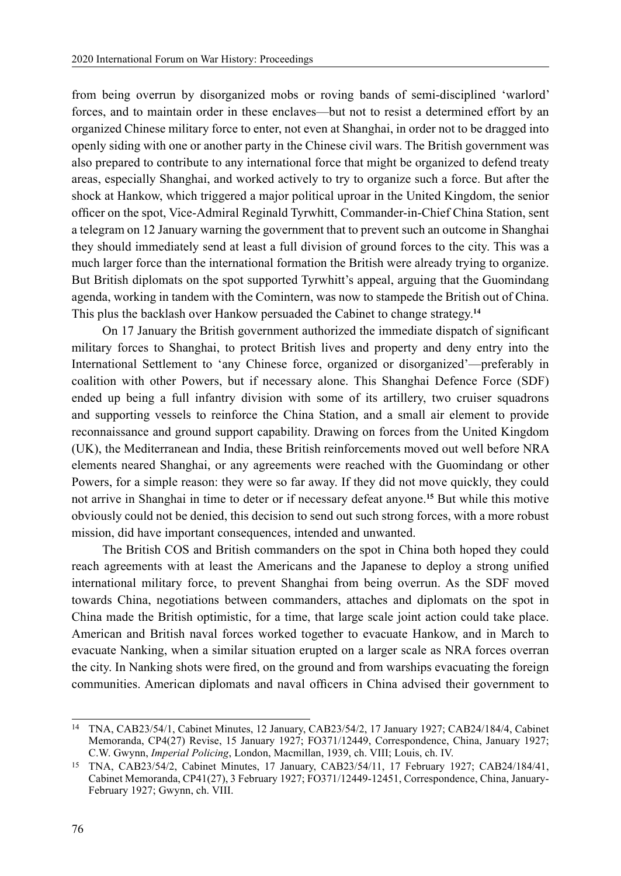from being overrun by disorganized mobs or roving bands of semi-disciplined 'warlord' forces, and to maintain order in these enclaves—but not to resist a determined effort by an organized Chinese military force to enter, not even at Shanghai, in order not to be dragged into openly siding with one or another party in the Chinese civil wars. The British government was also prepared to contribute to any international force that might be organized to defend treaty areas, especially Shanghai, and worked actively to try to organize such a force. But after the shock at Hankow, which triggered a major political uproar in the United Kingdom, the senior officer on the spot, Vice-Admiral Reginald Tyrwhitt, Commander-in-Chief China Station, sent a telegram on 12 January warning the government that to prevent such an outcome in Shanghai they should immediately send at least a full division of ground forces to the city. This was a much larger force than the international formation the British were already trying to organize. But British diplomats on the spot supported Tyrwhitt's appeal, arguing that the Guomindang agenda, working in tandem with the Comintern, was now to stampede the British out of China. This plus the backlash over Hankow persuaded the Cabinet to change strategy.**<sup>14</sup>**

On 17 January the British government authorized the immediate dispatch of significant military forces to Shanghai, to protect British lives and property and deny entry into the International Settlement to 'any Chinese force, organized or disorganized'—preferably in coalition with other Powers, but if necessary alone. This Shanghai Defence Force (SDF) ended up being a full infantry division with some of its artillery, two cruiser squadrons and supporting vessels to reinforce the China Station, and a small air element to provide reconnaissance and ground support capability. Drawing on forces from the United Kingdom (UK), the Mediterranean and India, these British reinforcements moved out well before NRA elements neared Shanghai, or any agreements were reached with the Guomindang or other Powers, for a simple reason: they were so far away. If they did not move quickly, they could not arrive in Shanghai in time to deter or if necessary defeat anyone.**<sup>15</sup>** But while this motive obviously could not be denied, this decision to send out such strong forces, with a more robust mission, did have important consequences, intended and unwanted.

The British COS and British commanders on the spot in China both hoped they could reach agreements with at least the Americans and the Japanese to deploy a strong unified international military force, to prevent Shanghai from being overrun. As the SDF moved towards China, negotiations between commanders, attaches and diplomats on the spot in China made the British optimistic, for a time, that large scale joint action could take place. American and British naval forces worked together to evacuate Hankow, and in March to evacuate Nanking, when a similar situation erupted on a larger scale as NRA forces overran the city. In Nanking shots were fired, on the ground and from warships evacuating the foreign communities. American diplomats and naval officers in China advised their government to

<sup>14</sup> TNA, CAB23/54/1, Cabinet Minutes, 12 January, CAB23/54/2, 17 January 1927; CAB24/184/4, Cabinet Memoranda, CP4(27) Revise, 15 January 1927; FO371/12449, Correspondence, China, January 1927; C.W. Gwynn, *Imperial Policing*, London, Macmillan, 1939, ch. VIII; Louis, ch. IV.

<sup>15</sup> TNA, CAB23/54/2, Cabinet Minutes, 17 January, CAB23/54/11, 17 February 1927; CAB24/184/41, Cabinet Memoranda, CP41(27), 3 February 1927; FO371/12449-12451, Correspondence, China, January-February 1927; Gwynn, ch. VIII.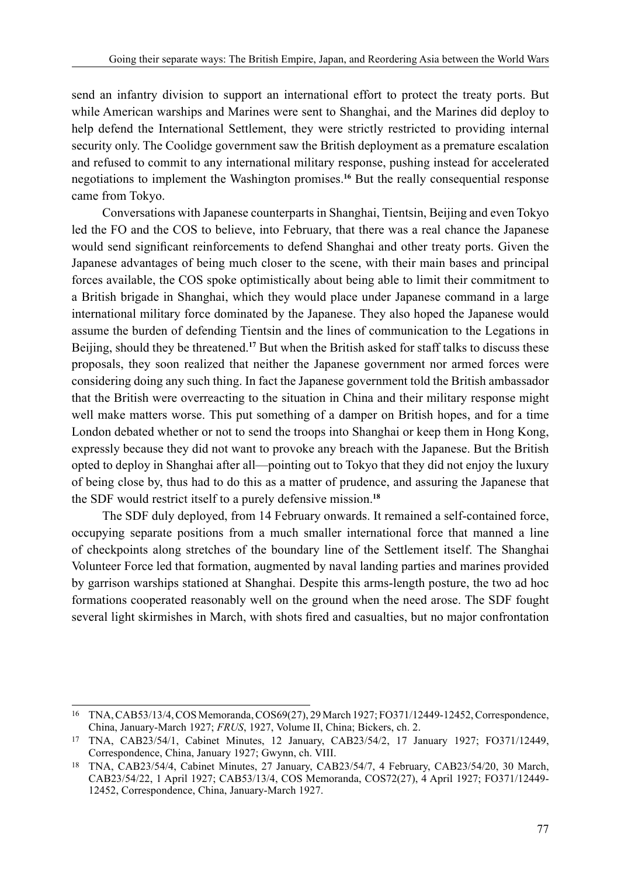send an infantry division to support an international effort to protect the treaty ports. But while American warships and Marines were sent to Shanghai, and the Marines did deploy to help defend the International Settlement, they were strictly restricted to providing internal security only. The Coolidge government saw the British deployment as a premature escalation and refused to commit to any international military response, pushing instead for accelerated negotiations to implement the Washington promises.**<sup>16</sup>** But the really consequential response came from Tokyo.

Conversations with Japanese counterparts in Shanghai, Tientsin, Beijing and even Tokyo led the FO and the COS to believe, into February, that there was a real chance the Japanese would send significant reinforcements to defend Shanghai and other treaty ports. Given the Japanese advantages of being much closer to the scene, with their main bases and principal forces available, the COS spoke optimistically about being able to limit their commitment to a British brigade in Shanghai, which they would place under Japanese command in a large international military force dominated by the Japanese. They also hoped the Japanese would assume the burden of defending Tientsin and the lines of communication to the Legations in Beijing, should they be threatened.**<sup>17</sup>** But when the British asked for staff talks to discuss these proposals, they soon realized that neither the Japanese government nor armed forces were considering doing any such thing. In fact the Japanese government told the British ambassador that the British were overreacting to the situation in China and their military response might well make matters worse. This put something of a damper on British hopes, and for a time London debated whether or not to send the troops into Shanghai or keep them in Hong Kong, expressly because they did not want to provoke any breach with the Japanese. But the British opted to deploy in Shanghai after all—pointing out to Tokyo that they did not enjoy the luxury of being close by, thus had to do this as a matter of prudence, and assuring the Japanese that the SDF would restrict itself to a purely defensive mission.**<sup>18</sup>**

The SDF duly deployed, from 14 February onwards. It remained a self-contained force, occupying separate positions from a much smaller international force that manned a line of checkpoints along stretches of the boundary line of the Settlement itself. The Shanghai Volunteer Force led that formation, augmented by naval landing parties and marines provided by garrison warships stationed at Shanghai. Despite this arms-length posture, the two ad hoc formations cooperated reasonably well on the ground when the need arose. The SDF fought several light skirmishes in March, with shots fired and casualties, but no major confrontation

<sup>16</sup> TNA, CAB53/13/4, COS Memoranda, COS69(27), 29 March 1927; FO371/12449-12452, Correspondence, China, January-March 1927; *FRUS*, 1927, Volume II, China; Bickers, ch. 2.

<sup>17</sup> TNA, CAB23/54/1, Cabinet Minutes, 12 January, CAB23/54/2, 17 January 1927; FO371/12449, Correspondence, China, January 1927; Gwynn, ch. VIII.

<sup>18</sup> TNA, CAB23/54/4, Cabinet Minutes, 27 January, CAB23/54/7, 4 February, CAB23/54/20, 30 March, CAB23/54/22, 1 April 1927; CAB53/13/4, COS Memoranda, COS72(27), 4 April 1927; FO371/12449- 12452, Correspondence, China, January-March 1927.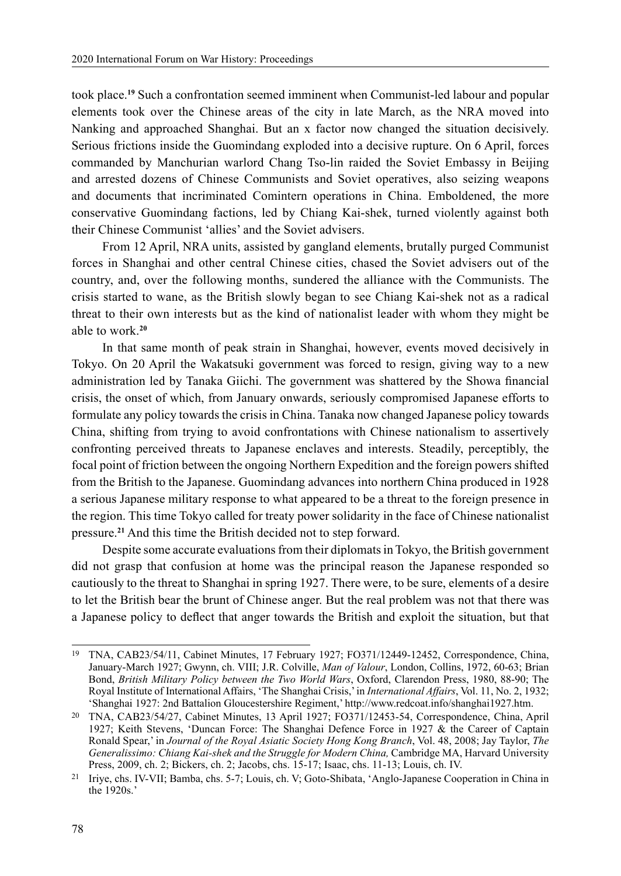took place.**<sup>19</sup>** Such a confrontation seemed imminent when Communist-led labour and popular elements took over the Chinese areas of the city in late March, as the NRA moved into Nanking and approached Shanghai. But an x factor now changed the situation decisively. Serious frictions inside the Guomindang exploded into a decisive rupture. On 6 April, forces commanded by Manchurian warlord Chang Tso-lin raided the Soviet Embassy in Beijing and arrested dozens of Chinese Communists and Soviet operatives, also seizing weapons and documents that incriminated Comintern operations in China. Emboldened, the more conservative Guomindang factions, led by Chiang Kai-shek, turned violently against both their Chinese Communist 'allies' and the Soviet advisers.

From 12 April, NRA units, assisted by gangland elements, brutally purged Communist forces in Shanghai and other central Chinese cities, chased the Soviet advisers out of the country, and, over the following months, sundered the alliance with the Communists. The crisis started to wane, as the British slowly began to see Chiang Kai-shek not as a radical threat to their own interests but as the kind of nationalist leader with whom they might be able to work.**<sup>20</sup>**

In that same month of peak strain in Shanghai, however, events moved decisively in Tokyo. On 20 April the Wakatsuki government was forced to resign, giving way to a new administration led by Tanaka Giichi. The government was shattered by the Showa financial crisis, the onset of which, from January onwards, seriously compromised Japanese efforts to formulate any policy towards the crisis in China. Tanaka now changed Japanese policy towards China, shifting from trying to avoid confrontations with Chinese nationalism to assertively confronting perceived threats to Japanese enclaves and interests. Steadily, perceptibly, the focal point of friction between the ongoing Northern Expedition and the foreign powers shifted from the British to the Japanese. Guomindang advances into northern China produced in 1928 a serious Japanese military response to what appeared to be a threat to the foreign presence in the region. This time Tokyo called for treaty power solidarity in the face of Chinese nationalist pressure.**<sup>21</sup>** And this time the British decided not to step forward.

Despite some accurate evaluations from their diplomats in Tokyo, the British government did not grasp that confusion at home was the principal reason the Japanese responded so cautiously to the threat to Shanghai in spring 1927. There were, to be sure, elements of a desire to let the British bear the brunt of Chinese anger. But the real problem was not that there was a Japanese policy to deflect that anger towards the British and exploit the situation, but that

<sup>19</sup> TNA, CAB23/54/11, Cabinet Minutes, 17 February 1927; FO371/12449-12452, Correspondence, China, January-March 1927; Gwynn, ch. VIII; J.R. Colville, *Man of Valour*, London, Collins, 1972, 60-63; Brian Bond, *British Military Policy between the Two World Wars*, Oxford, Clarendon Press, 1980, 88-90; The Royal Institute of International Affairs, 'The Shanghai Crisis,' in *International Affairs*, Vol. 11, No. 2, 1932; 'Shanghai 1927: 2nd Battalion Gloucestershire Regiment,' http://www.redcoat.info/shanghai1927.htm.

<sup>20</sup> TNA, CAB23/54/27, Cabinet Minutes, 13 April 1927; FO371/12453-54, Correspondence, China, April 1927; Keith Stevens, 'Duncan Force: The Shanghai Defence Force in 1927 & the Career of Captain Ronald Spear,' in *Journal of the Royal Asiatic Society Hong Kong Branch*, Vol. 48, 2008; Jay Taylor, *The Generalissimo: Chiang Kai-shek and the Struggle for Modern China,* Cambridge MA, Harvard University Press, 2009, ch. 2; Bickers, ch. 2; Jacobs, chs. 15-17; Isaac, chs. 11-13; Louis, ch. IV.

<sup>21</sup> Iriye, chs. IV-VII; Bamba, chs. 5-7; Louis, ch. V; Goto-Shibata, 'Anglo-Japanese Cooperation in China in the 1920s.'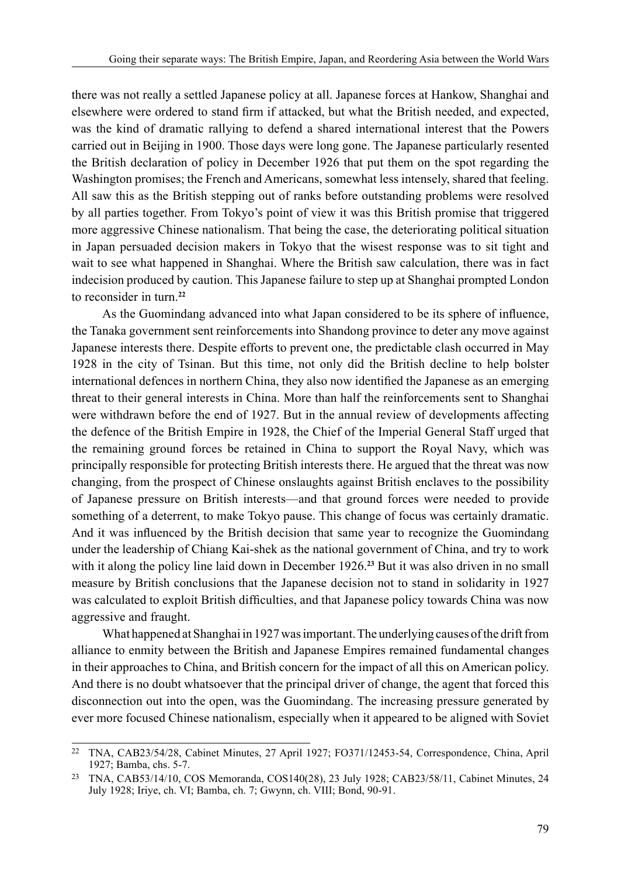there was not really a settled Japanese policy at all. Japanese forces at Hankow, Shanghai and elsewhere were ordered to stand firm if attacked, but what the British needed, and expected, was the kind of dramatic rallying to defend a shared international interest that the Powers carried out in Beijing in 1900. Those days were long gone. The Japanese particularly resented the British declaration of policy in December 1926 that put them on the spot regarding the Washington promises; the French and Americans, somewhat less intensely, shared that feeling. All saw this as the British stepping out of ranks before outstanding problems were resolved by all parties together. From Tokyo's point of view it was this British promise that triggered more aggressive Chinese nationalism. That being the case, the deteriorating political situation in Japan persuaded decision makers in Tokyo that the wisest response was to sit tight and wait to see what happened in Shanghai. Where the British saw calculation, there was in fact indecision produced by caution. This Japanese failure to step up at Shanghai prompted London to reconsider in turn.**<sup>22</sup>**

As the Guomindang advanced into what Japan considered to be its sphere of influence, the Tanaka government sent reinforcements into Shandong province to deter any move against Japanese interests there. Despite efforts to prevent one, the predictable clash occurred in May 1928 in the city of Tsinan. But this time, not only did the British decline to help bolster international defences in northern China, they also now identified the Japanese as an emerging threat to their general interests in China. More than half the reinforcements sent to Shanghai were withdrawn before the end of 1927. But in the annual review of developments affecting the defence of the British Empire in 1928, the Chief of the Imperial General Staff urged that the remaining ground forces be retained in China to support the Royal Navy, which was principally responsible for protecting British interests there. He argued that the threat was now changing, from the prospect of Chinese onslaughts against British enclaves to the possibility of Japanese pressure on British interests—and that ground forces were needed to provide something of a deterrent, to make Tokyo pause. This change of focus was certainly dramatic. And it was influenced by the British decision that same year to recognize the Guomindang under the leadership of Chiang Kai-shek as the national government of China, and try to work with it along the policy line laid down in December 1926.**<sup>23</sup>** But it was also driven in no small measure by British conclusions that the Japanese decision not to stand in solidarity in 1927 was calculated to exploit British difficulties, and that Japanese policy towards China was now aggressive and fraught.

What happened at Shanghai in 1927 was important. The underlying causes of the drift from alliance to enmity between the British and Japanese Empires remained fundamental changes in their approaches to China, and British concern for the impact of all this on American policy. And there is no doubt whatsoever that the principal driver of change, the agent that forced this disconnection out into the open, was the Guomindang. The increasing pressure generated by ever more focused Chinese nationalism, especially when it appeared to be aligned with Soviet

<sup>22</sup> TNA, CAB23/54/28, Cabinet Minutes, 27 April 1927; FO371/12453-54, Correspondence, China, April 1927; Bamba, chs. 5-7.

<sup>23</sup> TNA, CAB53/14/10, COS Memoranda, COS140(28), 23 July 1928; CAB23/58/11, Cabinet Minutes, 24 July 1928; Iriye, ch. VI; Bamba, ch. 7; Gwynn, ch. VIII; Bond, 90-91.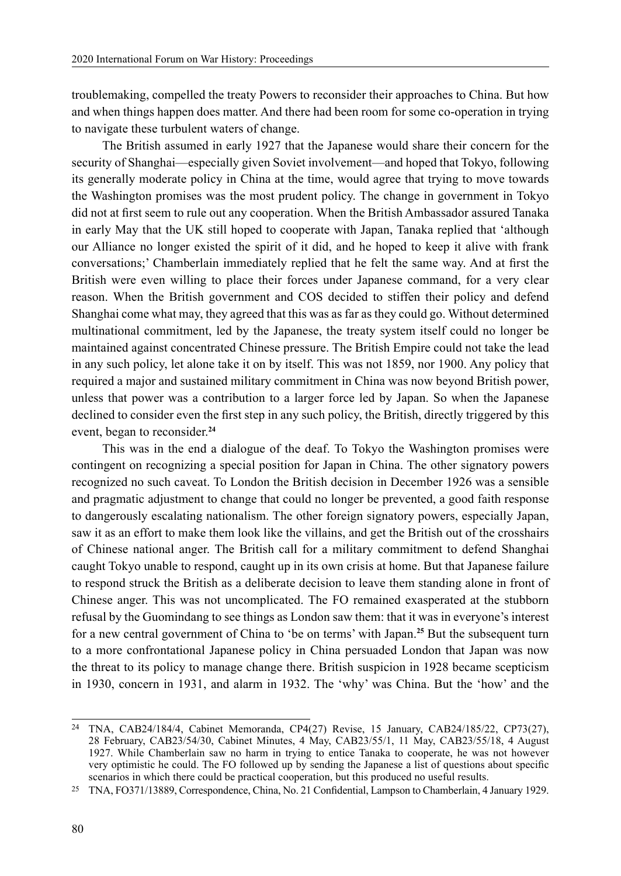troublemaking, compelled the treaty Powers to reconsider their approaches to China. But how and when things happen does matter. And there had been room for some co-operation in trying to navigate these turbulent waters of change.

The British assumed in early 1927 that the Japanese would share their concern for the security of Shanghai—especially given Soviet involvement—and hoped that Tokyo, following its generally moderate policy in China at the time, would agree that trying to move towards the Washington promises was the most prudent policy. The change in government in Tokyo did not at first seem to rule out any cooperation. When the British Ambassador assured Tanaka in early May that the UK still hoped to cooperate with Japan, Tanaka replied that 'although our Alliance no longer existed the spirit of it did, and he hoped to keep it alive with frank conversations;' Chamberlain immediately replied that he felt the same way. And at first the British were even willing to place their forces under Japanese command, for a very clear reason. When the British government and COS decided to stiffen their policy and defend Shanghai come what may, they agreed that this was as far as they could go. Without determined multinational commitment, led by the Japanese, the treaty system itself could no longer be maintained against concentrated Chinese pressure. The British Empire could not take the lead in any such policy, let alone take it on by itself. This was not 1859, nor 1900. Any policy that required a major and sustained military commitment in China was now beyond British power, unless that power was a contribution to a larger force led by Japan. So when the Japanese declined to consider even the first step in any such policy, the British, directly triggered by this event, began to reconsider.**<sup>24</sup>**

This was in the end a dialogue of the deaf. To Tokyo the Washington promises were contingent on recognizing a special position for Japan in China. The other signatory powers recognized no such caveat. To London the British decision in December 1926 was a sensible and pragmatic adjustment to change that could no longer be prevented, a good faith response to dangerously escalating nationalism. The other foreign signatory powers, especially Japan, saw it as an effort to make them look like the villains, and get the British out of the crosshairs of Chinese national anger. The British call for a military commitment to defend Shanghai caught Tokyo unable to respond, caught up in its own crisis at home. But that Japanese failure to respond struck the British as a deliberate decision to leave them standing alone in front of Chinese anger. This was not uncomplicated. The FO remained exasperated at the stubborn refusal by the Guomindang to see things as London saw them: that it was in everyone's interest for a new central government of China to 'be on terms' with Japan.<sup>25</sup> But the subsequent turn to a more confrontational Japanese policy in China persuaded London that Japan was now the threat to its policy to manage change there. British suspicion in 1928 became scepticism in 1930, concern in 1931, and alarm in 1932. The 'why' was China. But the 'how' and the

<sup>24</sup> TNA, CAB24/184/4, Cabinet Memoranda, CP4(27) Revise, 15 January, CAB24/185/22, CP73(27), 28 February, CAB23/54/30, Cabinet Minutes, 4 May, CAB23/55/1, 11 May, CAB23/55/18, 4 August 1927. While Chamberlain saw no harm in trying to entice Tanaka to cooperate, he was not however very optimistic he could. The FO followed up by sending the Japanese a list of questions about specific scenarios in which there could be practical cooperation, but this produced no useful results.

<sup>25</sup> TNA, FO371/13889, Correspondence, China, No. 21 Confidential, Lampson to Chamberlain, 4 January 1929.